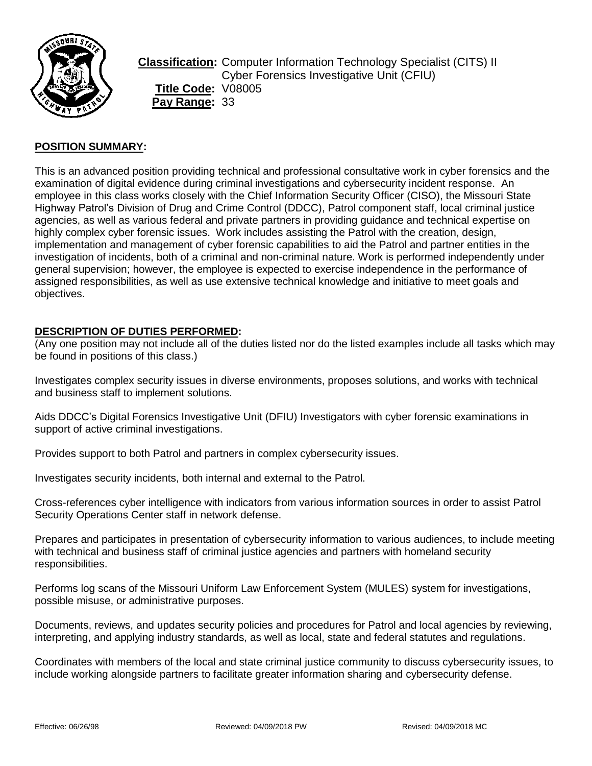

**Classification:** Computer Information Technology Specialist (CITS) II Cyber Forensics Investigative Unit (CFIU) **Title Code:** V08005 **Pay Range:** 33

# **POSITION SUMMARY:**

This is an advanced position providing technical and professional consultative work in cyber forensics and the examination of digital evidence during criminal investigations and cybersecurity incident response. An employee in this class works closely with the Chief Information Security Officer (CISO), the Missouri State Highway Patrol's Division of Drug and Crime Control (DDCC), Patrol component staff, local criminal justice agencies, as well as various federal and private partners in providing guidance and technical expertise on highly complex cyber forensic issues. Work includes assisting the Patrol with the creation, design, implementation and management of cyber forensic capabilities to aid the Patrol and partner entities in the investigation of incidents, both of a criminal and non-criminal nature. Work is performed independently under general supervision; however, the employee is expected to exercise independence in the performance of assigned responsibilities, as well as use extensive technical knowledge and initiative to meet goals and objectives.

### **DESCRIPTION OF DUTIES PERFORMED:**

(Any one position may not include all of the duties listed nor do the listed examples include all tasks which may be found in positions of this class.)

Investigates complex security issues in diverse environments, proposes solutions, and works with technical and business staff to implement solutions.

Aids DDCC's Digital Forensics Investigative Unit (DFIU) Investigators with cyber forensic examinations in support of active criminal investigations.

Provides support to both Patrol and partners in complex cybersecurity issues.

Investigates security incidents, both internal and external to the Patrol.

Cross-references cyber intelligence with indicators from various information sources in order to assist Patrol Security Operations Center staff in network defense.

Prepares and participates in presentation of cybersecurity information to various audiences, to include meeting with technical and business staff of criminal justice agencies and partners with homeland security responsibilities.

Performs log scans of the Missouri Uniform Law Enforcement System (MULES) system for investigations, possible misuse, or administrative purposes.

Documents, reviews, and updates security policies and procedures for Patrol and local agencies by reviewing, interpreting, and applying industry standards, as well as local, state and federal statutes and regulations.

Coordinates with members of the local and state criminal justice community to discuss cybersecurity issues, to include working alongside partners to facilitate greater information sharing and cybersecurity defense.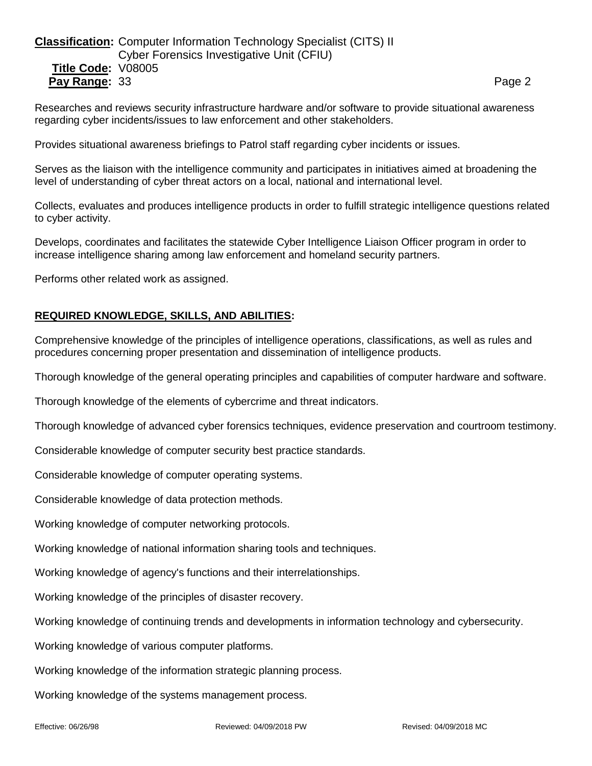# **Classification:** Computer Information Technology Specialist (CITS) II Cyber Forensics Investigative Unit (CFIU) **Title Code:** V08005 **Pay Range:** 33 **Page 2 Page 2 Page 2 Page 2 Page 2**

Researches and reviews security infrastructure hardware and/or software to provide situational awareness regarding cyber incidents/issues to law enforcement and other stakeholders.

Provides situational awareness briefings to Patrol staff regarding cyber incidents or issues.

Serves as the liaison with the intelligence community and participates in initiatives aimed at broadening the level of understanding of cyber threat actors on a local, national and international level.

Collects, evaluates and produces intelligence products in order to fulfill strategic intelligence questions related to cyber activity.

Develops, coordinates and facilitates the statewide Cyber Intelligence Liaison Officer program in order to increase intelligence sharing among law enforcement and homeland security partners.

Performs other related work as assigned.

### **REQUIRED KNOWLEDGE, SKILLS, AND ABILITIES:**

Comprehensive knowledge of the principles of intelligence operations, classifications, as well as rules and procedures concerning proper presentation and dissemination of intelligence products.

Thorough knowledge of the general operating principles and capabilities of computer hardware and software.

Thorough knowledge of the elements of cybercrime and threat indicators.

Thorough knowledge of advanced cyber forensics techniques, evidence preservation and courtroom testimony.

Considerable knowledge of computer security best practice standards.

Considerable knowledge of computer operating systems.

Considerable knowledge of data protection methods.

Working knowledge of computer networking protocols.

Working knowledge of national information sharing tools and techniques.

Working knowledge of agency's functions and their interrelationships.

Working knowledge of the principles of disaster recovery.

Working knowledge of continuing trends and developments in information technology and cybersecurity.

Working knowledge of various computer platforms.

Working knowledge of the information strategic planning process.

Working knowledge of the systems management process.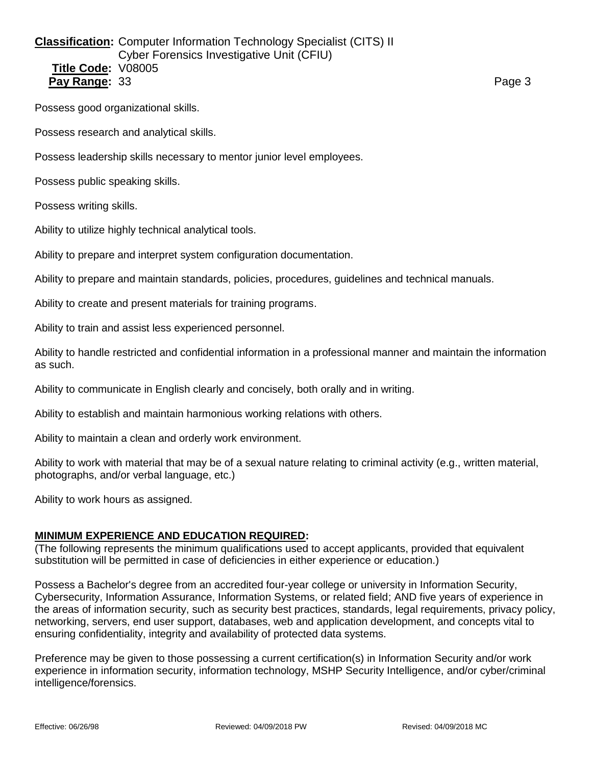## **Classification:** Computer Information Technology Specialist (CITS) II Cyber Forensics Investigative Unit (CFIU) **Title Code:** V08005 **Pay Range:** 33 **Page 3** Page 3

Possess good organizational skills.

Possess research and analytical skills.

Possess leadership skills necessary to mentor junior level employees.

Possess public speaking skills.

Possess writing skills.

Ability to utilize highly technical analytical tools.

Ability to prepare and interpret system configuration documentation.

Ability to prepare and maintain standards, policies, procedures, guidelines and technical manuals.

Ability to create and present materials for training programs.

Ability to train and assist less experienced personnel.

Ability to handle restricted and confidential information in a professional manner and maintain the information as such.

Ability to communicate in English clearly and concisely, both orally and in writing.

Ability to establish and maintain harmonious working relations with others.

Ability to maintain a clean and orderly work environment.

Ability to work with material that may be of a sexual nature relating to criminal activity (e.g., written material, photographs, and/or verbal language, etc.)

Ability to work hours as assigned.

#### **MINIMUM EXPERIENCE AND EDUCATION REQUIRED:**

(The following represents the minimum qualifications used to accept applicants, provided that equivalent substitution will be permitted in case of deficiencies in either experience or education.)

Possess a Bachelor's degree from an accredited four-year college or university in Information Security, Cybersecurity, Information Assurance, Information Systems, or related field; AND five years of experience in the areas of information security, such as security best practices, standards, legal requirements, privacy policy, networking, servers, end user support, databases, web and application development, and concepts vital to ensuring confidentiality, integrity and availability of protected data systems.

Preference may be given to those possessing a current certification(s) in Information Security and/or work experience in information security, information technology, MSHP Security Intelligence, and/or cyber/criminal intelligence/forensics.